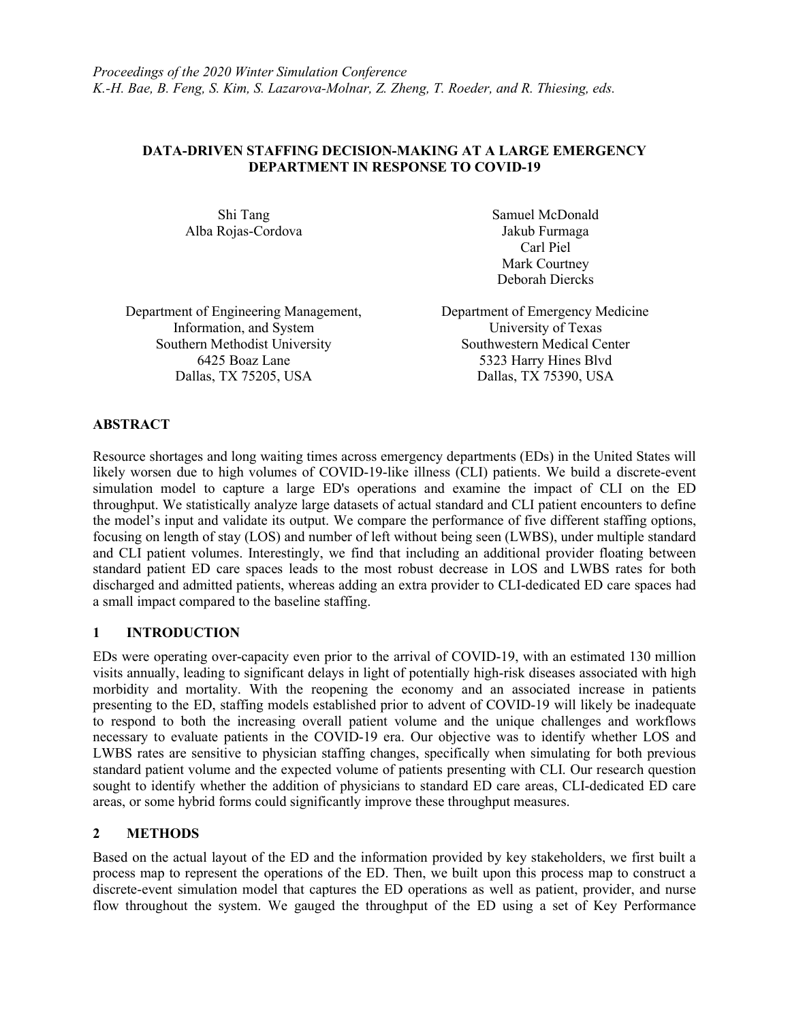## DATA-DRIVEN STAFFING DECISION-MAKING AT A LARGE EMERGENCY DEPARTMENT IN RESPONSE TO COVID-19

Alba Rojas-Cordova Jakub Furmaga

Shi Tang Samuel McDonald Carl Piel Mark Courtney Deborah Diercks

Department of Engineering Management, Department of Emergency Medicine Information, and System University of Texas Southern Methodist University Southwestern Medical Center Dallas, TX 75205, USA Dallas, TX 75390, USA

6425 Boaz Lane 5323 Harry Hines Blvd

# ABSTRACT

Resource shortages and long waiting times across emergency departments (EDs) in the United States will likely worsen due to high volumes of COVID-19-like illness (CLI) patients. We build a discrete-event simulation model to capture a large ED's operations and examine the impact of CLI on the ED throughput. We statistically analyze large datasets of actual standard and CLI patient encounters to define the model's input and validate its output. We compare the performance of five different staffing options, focusing on length of stay (LOS) and number of left without being seen (LWBS), under multiple standard and CLI patient volumes. Interestingly, we find that including an additional provider floating between standard patient ED care spaces leads to the most robust decrease in LOS and LWBS rates for both discharged and admitted patients, whereas adding an extra provider to CLI-dedicated ED care spaces had a small impact compared to the baseline staffing.

## 1 INTRODUCTION

EDs were operating over-capacity even prior to the arrival of COVID-19, with an estimated 130 million visits annually, leading to significant delays in light of potentially high-risk diseases associated with high morbidity and mortality. With the reopening the economy and an associated increase in patients presenting to the ED, staffing models established prior to advent of COVID-19 will likely be inadequate to respond to both the increasing overall patient volume and the unique challenges and workflows necessary to evaluate patients in the COVID-19 era. Our objective was to identify whether LOS and LWBS rates are sensitive to physician staffing changes, specifically when simulating for both previous standard patient volume and the expected volume of patients presenting with CLI. Our research question sought to identify whether the addition of physicians to standard ED care areas, CLI-dedicated ED care areas, or some hybrid forms could significantly improve these throughput measures.

## 2 METHODS

Based on the actual layout of the ED and the information provided by key stakeholders, we first built a process map to represent the operations of the ED. Then, we built upon this process map to construct a discrete-event simulation model that captures the ED operations as well as patient, provider, and nurse flow throughout the system. We gauged the throughput of the ED using a set of Key Performance